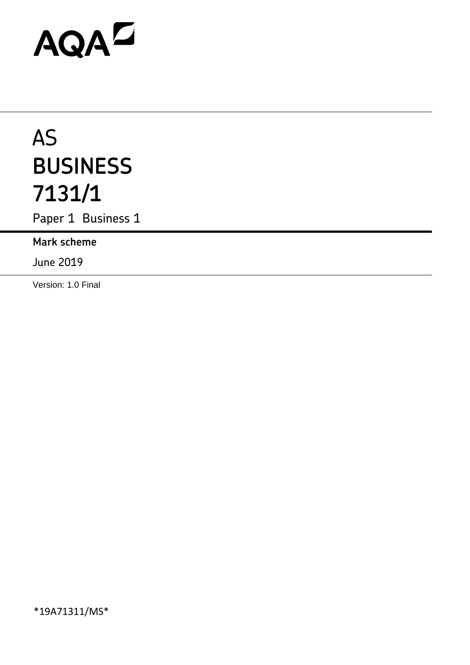# AQAD

## AS **BUSINESS 7131/1**

Paper 1 Business 1

**Mark scheme**

June 2019

Version: 1.0 Final

\*19A71311/MS\*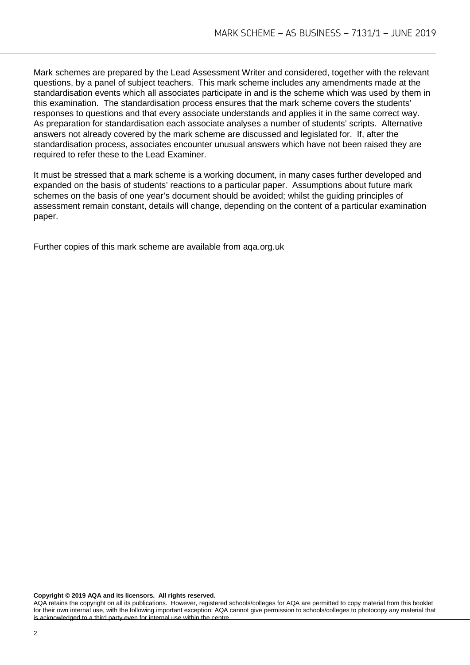Mark schemes are prepared by the Lead Assessment Writer and considered, together with the relevant questions, by a panel of subject teachers. This mark scheme includes any amendments made at the standardisation events which all associates participate in and is the scheme which was used by them in this examination. The standardisation process ensures that the mark scheme covers the students' responses to questions and that every associate understands and applies it in the same correct way. As preparation for standardisation each associate analyses a number of students' scripts. Alternative answers not already covered by the mark scheme are discussed and legislated for. If, after the standardisation process, associates encounter unusual answers which have not been raised they are required to refer these to the Lead Examiner.

It must be stressed that a mark scheme is a working document, in many cases further developed and expanded on the basis of students' reactions to a particular paper. Assumptions about future mark schemes on the basis of one year's document should be avoided; whilst the guiding principles of assessment remain constant, details will change, depending on the content of a particular examination paper.

Further copies of this mark scheme are available from aqa.org.uk

**Copyright © 2019 AQA and its licensors. All rights reserved.**

AQA retains the copyright on all its publications. However, registered schools/colleges for AQA are permitted to copy material from this booklet for their own internal use, with the following important exception: AQA cannot give permission to schools/colleges to photocopy any material that is acknowledged to a third party even for internal use within the centre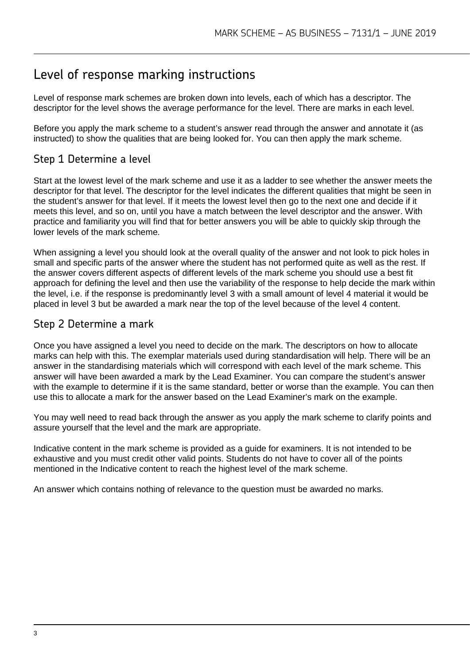#### Level of response marking instructions

Level of response mark schemes are broken down into levels, each of which has a descriptor. The descriptor for the level shows the average performance for the level. There are marks in each level.

Before you apply the mark scheme to a student's answer read through the answer and annotate it (as instructed) to show the qualities that are being looked for. You can then apply the mark scheme.

#### Step 1 Determine a level

Start at the lowest level of the mark scheme and use it as a ladder to see whether the answer meets the descriptor for that level. The descriptor for the level indicates the different qualities that might be seen in the student's answer for that level. If it meets the lowest level then go to the next one and decide if it meets this level, and so on, until you have a match between the level descriptor and the answer. With practice and familiarity you will find that for better answers you will be able to quickly skip through the lower levels of the mark scheme.

When assigning a level you should look at the overall quality of the answer and not look to pick holes in small and specific parts of the answer where the student has not performed quite as well as the rest. If the answer covers different aspects of different levels of the mark scheme you should use a best fit approach for defining the level and then use the variability of the response to help decide the mark within the level, i.e. if the response is predominantly level 3 with a small amount of level 4 material it would be placed in level 3 but be awarded a mark near the top of the level because of the level 4 content.

#### Step 2 Determine a mark

Once you have assigned a level you need to decide on the mark. The descriptors on how to allocate marks can help with this. The exemplar materials used during standardisation will help. There will be an answer in the standardising materials which will correspond with each level of the mark scheme. This answer will have been awarded a mark by the Lead Examiner. You can compare the student's answer with the example to determine if it is the same standard, better or worse than the example. You can then use this to allocate a mark for the answer based on the Lead Examiner's mark on the example.

You may well need to read back through the answer as you apply the mark scheme to clarify points and assure yourself that the level and the mark are appropriate.

Indicative content in the mark scheme is provided as a guide for examiners. It is not intended to be exhaustive and you must credit other valid points. Students do not have to cover all of the points mentioned in the Indicative content to reach the highest level of the mark scheme.

An answer which contains nothing of relevance to the question must be awarded no marks.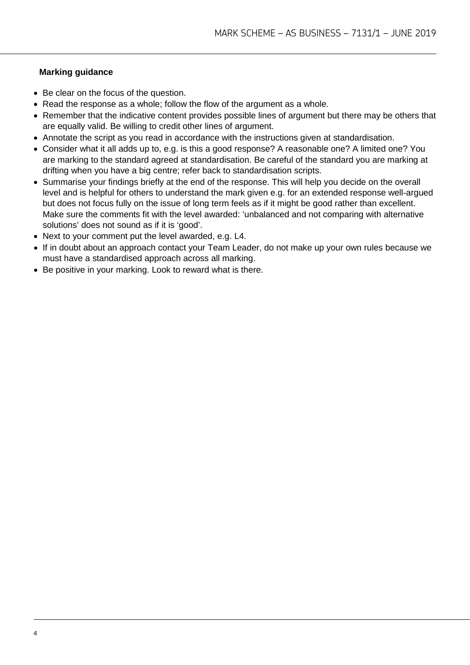#### **Marking guidance**

- Be clear on the focus of the question.
- Read the response as a whole; follow the flow of the argument as a whole.
- Remember that the indicative content provides possible lines of argument but there may be others that are equally valid. Be willing to credit other lines of argument.
- Annotate the script as you read in accordance with the instructions given at standardisation.
- Consider what it all adds up to, e.g. is this a good response? A reasonable one? A limited one? You are marking to the standard agreed at standardisation. Be careful of the standard you are marking at drifting when you have a big centre; refer back to standardisation scripts.
- Summarise your findings briefly at the end of the response. This will help you decide on the overall level and is helpful for others to understand the mark given e.g. for an extended response well-argued but does not focus fully on the issue of long term feels as if it might be good rather than excellent. Make sure the comments fit with the level awarded: 'unbalanced and not comparing with alternative solutions' does not sound as if it is 'good'.
- Next to your comment put the level awarded, e.g. L4.
- If in doubt about an approach contact your Team Leader, do not make up your own rules because we must have a standardised approach across all marking.
- Be positive in your marking. Look to reward what is there.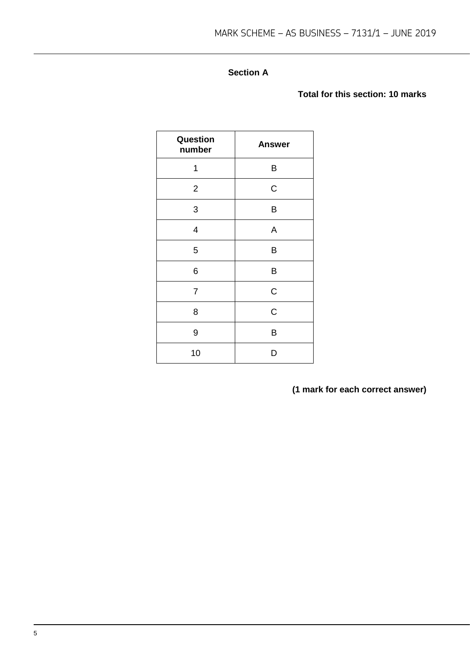#### **Section A**

#### **Total for this section: 10 marks**

| Question<br>number | <b>Answer</b> |
|--------------------|---------------|
| 1                  | B             |
| $\overline{2}$     | $\mathsf C$   |
| 3                  | B             |
| 4                  | A             |
| 5                  | B             |
| 6                  | B             |
| $\overline{7}$     | $\mathsf C$   |
| 8                  | $\mathsf C$   |
| 9                  | B             |
| 10                 | D             |

**(1 mark for each correct answer)**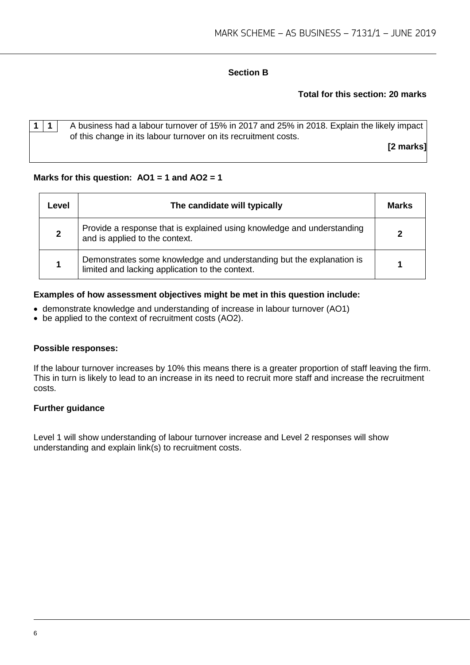#### **Section B**

#### **Total for this section: 20 marks**

|  | A business had a labour turnover of 15% in 2017 and 25% in 2018. Explain the likely impact |
|--|--------------------------------------------------------------------------------------------|
|  | of this change in its labour turnover on its recruitment costs.                            |
|  | [2 marks]                                                                                  |
|  |                                                                                            |

#### **Marks for this question: AO1 = 1 and AO2 = 1**

| Level | The candidate will typically                                                                                            | Marks |
|-------|-------------------------------------------------------------------------------------------------------------------------|-------|
|       | Provide a response that is explained using knowledge and understanding<br>and is applied to the context.                |       |
|       | Demonstrates some knowledge and understanding but the explanation is<br>limited and lacking application to the context. |       |

#### **Examples of how assessment objectives might be met in this question include:**

- demonstrate knowledge and understanding of increase in labour turnover (AO1)
- be applied to the context of recruitment costs (AO2).

#### **Possible responses:**

If the labour turnover increases by 10% this means there is a greater proportion of staff leaving the firm. This in turn is likely to lead to an increase in its need to recruit more staff and increase the recruitment costs.

#### **Further guidance**

Level 1 will show understanding of labour turnover increase and Level 2 responses will show understanding and explain link(s) to recruitment costs.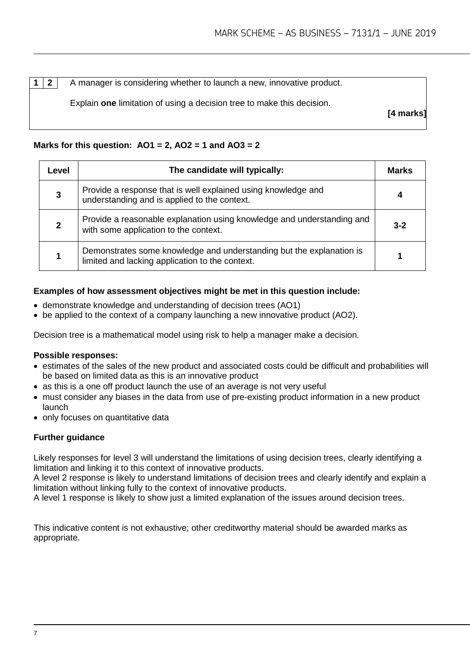**1 2** A manager is considering whether to launch a new, innovative product.

Explain **one** limitation of using a decision tree to make this decision.

**[4 marks]**

#### **Marks for this question: AO1 = 2, AO2 = 1 and AO3 = 2**

| Level | The candidate will typically:                                                                                           | <b>Marks</b> |
|-------|-------------------------------------------------------------------------------------------------------------------------|--------------|
| 3     | Provide a response that is well explained using knowledge and<br>understanding and is applied to the context.           |              |
|       | Provide a reasonable explanation using knowledge and understanding and<br>with some application to the context.         | $3 - 2$      |
|       | Demonstrates some knowledge and understanding but the explanation is<br>limited and lacking application to the context. |              |

#### **Examples of how assessment objectives might be met in this question include:**

- demonstrate knowledge and understanding of decision trees (AO1)
- be applied to the context of a company launching a new innovative product (AO2).

Decision tree is a mathematical model using risk to help a manager make a decision.

#### **Possible responses:**

- estimates of the sales of the new product and associated costs could be difficult and probabilities will be based on limited data as this is an innovative product
- as this is a one off product launch the use of an average is not very useful
- must consider any biases in the data from use of pre-existing product information in a new product launch
- only focuses on quantitative data

#### **Further guidance**

Likely responses for level 3 will understand the limitations of using decision trees, clearly identifying a limitation and linking it to this context of innovative products.

A level 2 response is likely to understand limitations of decision trees and clearly identify and explain a limitation without linking fully to the context of innovative products.

A level 1 response is likely to show just a limited explanation of the issues around decision trees.

This indicative content is not exhaustive; other creditworthy material should be awarded marks as appropriate.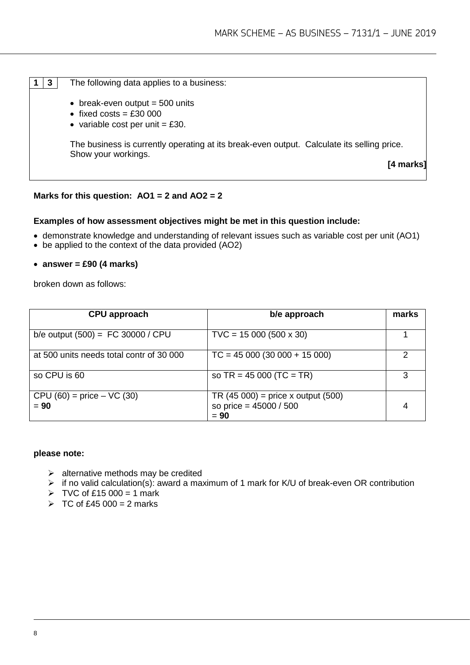- **1 3** The following data applies to a business:
	- $\bullet$  break-even output = 500 units
	- fixed costs =  $£30000$
	- variable cost per unit  $=$  £30.

The business is currently operating at its break-even output. Calculate its selling price. Show your workings.

**[4 marks]**

#### **Marks for this question: AO1 = 2 and AO2 = 2**

#### **Examples of how assessment objectives might be met in this question include:**

- demonstrate knowledge and understanding of relevant issues such as variable cost per unit (AO1)
- be applied to the context of the data provided (AO2)
- **answer = £90 (4 marks)**

broken down as follows:

| CPU approach                             | b/e approach                                                                 | marks |
|------------------------------------------|------------------------------------------------------------------------------|-------|
| b/e output $(500) = FC 30000 / CPU$      | $TVC = 15 000 (500 x 30)$                                                    |       |
| at 500 units needs total contr of 30 000 | $TC = 45000(30000 + 15000)$                                                  |       |
| so CPU is 60                             | so $TR = 45000$ (TC = TR)                                                    | 3     |
| $CPU (60) = price - VC (30)$<br>$= 90$   | TR $(45 000)$ = price x output $(500)$<br>so price = $45000 / 500$<br>$= 90$ |       |

#### **please note:**

- $\triangleright$  alternative methods may be credited
- $\triangleright$  if no valid calculation(s): award a maximum of 1 mark for K/U of break-even OR contribution
- $\triangleright$  TVC of £15 000 = 1 mark
- $\triangleright$  TC of £45 000 = 2 marks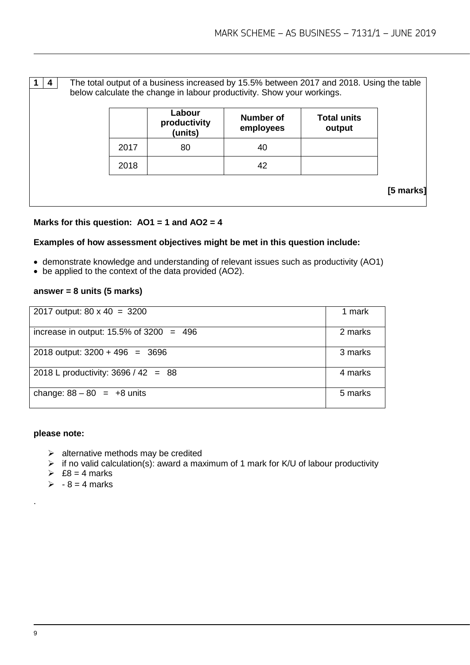|  |      | The total output of a business increased by 15.5% between 2017 and 2018. Using the table<br>below calculate the change in labour productivity. Show your workings. |                               |                              |           |
|--|------|--------------------------------------------------------------------------------------------------------------------------------------------------------------------|-------------------------------|------------------------------|-----------|
|  |      | Labour<br>productivity<br>(units)                                                                                                                                  | <b>Number of</b><br>employees | <b>Total units</b><br>output |           |
|  | 2017 | 80                                                                                                                                                                 | 40                            |                              |           |
|  | 2018 |                                                                                                                                                                    | 42                            |                              |           |
|  |      |                                                                                                                                                                    |                               |                              | [5 marks] |

#### **Marks for this question: AO1 = 1 and AO2 = 4**

#### **Examples of how assessment objectives might be met in this question include:**

- demonstrate knowledge and understanding of relevant issues such as productivity (AO1)
- be applied to the context of the data provided (AO2).

#### **answer = 8 units (5 marks)**

| 2017 output: $80 \times 40 = 3200$         | 1 mark  |
|--------------------------------------------|---------|
| increase in output: $15.5\%$ of 3200 = 496 | 2 marks |
| 2018 output: $3200 + 496 = 3696$           | 3 marks |
| 2018 L productivity: $3696 / 42 = 88$      | 4 marks |
| change: $88 - 80 = +8$ units               | 5 marks |

#### **please note:**

- $\triangleright$  alternative methods may be credited
- $\triangleright$  if no valid calculation(s): award a maximum of 1 mark for K/U of labour productivity
- $\geqslant$  £8 = 4 marks
- $\geqslant$  8 = 4 marks

.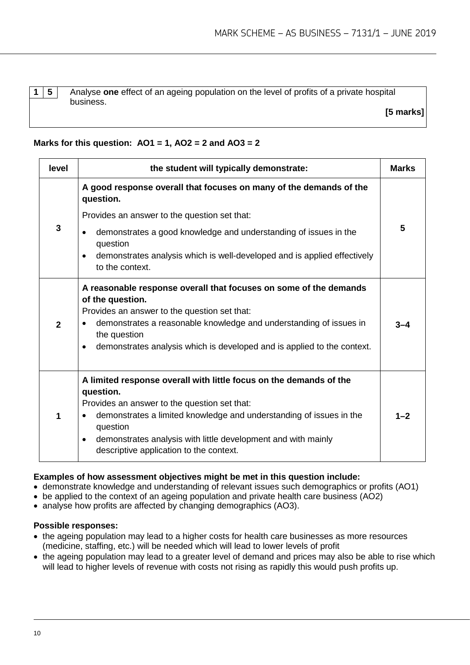**1 5** Analyse **one** effect of an ageing population on the level of profits of a private hospital business.

**[5 marks]**

#### **Marks for this question: AO1 = 1, AO2 = 2 and AO3 = 2**

| level          | the student will typically demonstrate:                                                                                                                                                                                                                                                                                                                  | <b>Marks</b> |
|----------------|----------------------------------------------------------------------------------------------------------------------------------------------------------------------------------------------------------------------------------------------------------------------------------------------------------------------------------------------------------|--------------|
|                | A good response overall that focuses on many of the demands of the<br>question.                                                                                                                                                                                                                                                                          |              |
|                | Provides an answer to the question set that:                                                                                                                                                                                                                                                                                                             |              |
| $\mathbf{3}$   | demonstrates a good knowledge and understanding of issues in the<br>$\bullet$<br>question                                                                                                                                                                                                                                                                | 5            |
|                | demonstrates analysis which is well-developed and is applied effectively<br>$\bullet$<br>to the context.                                                                                                                                                                                                                                                 |              |
| $\overline{2}$ | A reasonable response overall that focuses on some of the demands<br>of the question.<br>Provides an answer to the question set that:<br>demonstrates a reasonable knowledge and understanding of issues in<br>the question<br>demonstrates analysis which is developed and is applied to the context.<br>$\bullet$                                      | 3–4          |
| 1              | A limited response overall with little focus on the demands of the<br>question.<br>Provides an answer to the question set that:<br>demonstrates a limited knowledge and understanding of issues in the<br>$\bullet$<br>question<br>demonstrates analysis with little development and with mainly<br>$\bullet$<br>descriptive application to the context. | $1 - 2$      |

#### **Examples of how assessment objectives might be met in this question include:**

- demonstrate knowledge and understanding of relevant issues such demographics or profits (AO1)
- be applied to the context of an ageing population and private health care business (AO2)
- analyse how profits are affected by changing demographics (AO3).

#### **Possible responses:**

- the ageing population may lead to a higher costs for health care businesses as more resources (medicine, staffing, etc.) will be needed which will lead to lower levels of profit
- the ageing population may lead to a greater level of demand and prices may also be able to rise which will lead to higher levels of revenue with costs not rising as rapidly this would push profits up.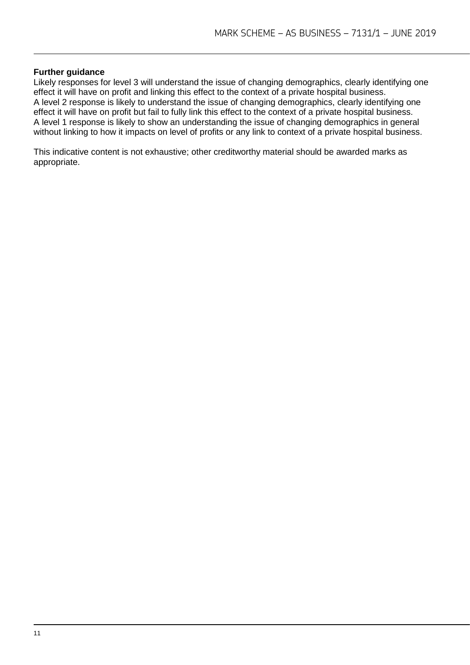#### **Further guidance**

Likely responses for level 3 will understand the issue of changing demographics, clearly identifying one effect it will have on profit and linking this effect to the context of a private hospital business. A level 2 response is likely to understand the issue of changing demographics, clearly identifying one effect it will have on profit but fail to fully link this effect to the context of a private hospital business. A level 1 response is likely to show an understanding the issue of changing demographics in general without linking to how it impacts on level of profits or any link to context of a private hospital business.

This indicative content is not exhaustive; other creditworthy material should be awarded marks as appropriate.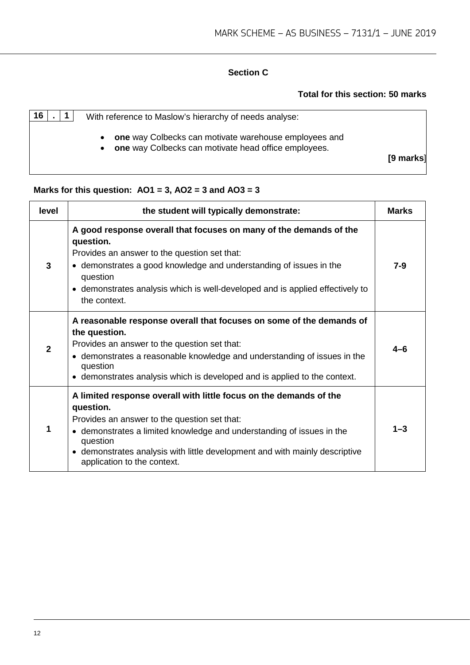#### **Section C**

#### **Total for this section: 50 marks**

| 16 | With reference to Maslow's hierarchy of needs analyse:                                                                     |           |
|----|----------------------------------------------------------------------------------------------------------------------------|-----------|
|    | one way Colbecks can motivate warehouse employees and<br>$\bullet$<br>one way Colbecks can motivate head office employees. | [9 marks] |

#### **Marks for this question: AO1 = 3, AO2 = 3 and AO3 = 3**

| level        | the student will typically demonstrate:                                                                                                                                                                                                                                                                                            | <b>Marks</b> |
|--------------|------------------------------------------------------------------------------------------------------------------------------------------------------------------------------------------------------------------------------------------------------------------------------------------------------------------------------------|--------------|
| $\mathbf{3}$ | A good response overall that focuses on many of the demands of the<br>question.<br>Provides an answer to the question set that:<br>• demonstrates a good knowledge and understanding of issues in the<br>question<br>• demonstrates analysis which is well-developed and is applied effectively to<br>the context.                 | $7 - 9$      |
| $\mathbf{2}$ | A reasonable response overall that focuses on some of the demands of<br>the question.<br>Provides an answer to the question set that:<br>• demonstrates a reasonable knowledge and understanding of issues in the<br>question<br>• demonstrates analysis which is developed and is applied to the context.                         | 4-6          |
| 1            | A limited response overall with little focus on the demands of the<br>question.<br>Provides an answer to the question set that:<br>• demonstrates a limited knowledge and understanding of issues in the<br>question<br>• demonstrates analysis with little development and with mainly descriptive<br>application to the context. | $1 - 3$      |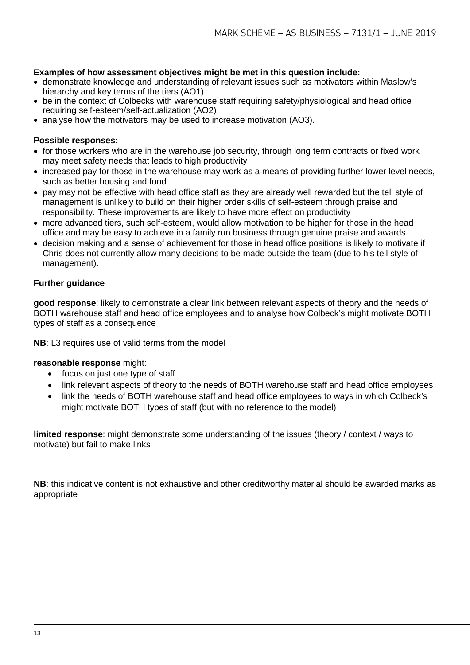#### **Examples of how assessment objectives might be met in this question include:**

- demonstrate knowledge and understanding of relevant issues such as motivators within Maslow's hierarchy and key terms of the tiers (AO1)
- be in the context of Colbecks with warehouse staff requiring safety/physiological and head office requiring self-esteem/self-actualization (AO2)
- analyse how the motivators may be used to increase motivation (AO3).

#### **Possible responses:**

- for those workers who are in the warehouse job security, through long term contracts or fixed work may meet safety needs that leads to high productivity
- increased pay for those in the warehouse may work as a means of providing further lower level needs, such as better housing and food
- pay may not be effective with head office staff as they are already well rewarded but the tell style of management is unlikely to build on their higher order skills of self-esteem through praise and responsibility. These improvements are likely to have more effect on productivity
- more advanced tiers, such self-esteem, would allow motivation to be higher for those in the head office and may be easy to achieve in a family run business through genuine praise and awards
- decision making and a sense of achievement for those in head office positions is likely to motivate if Chris does not currently allow many decisions to be made outside the team (due to his tell style of management).

#### **Further guidance**

**good response**: likely to demonstrate a clear link between relevant aspects of theory and the needs of BOTH warehouse staff and head office employees and to analyse how Colbeck's might motivate BOTH types of staff as a consequence

**NB**: L3 requires use of valid terms from the model

#### **reasonable response** might:

- focus on just one type of staff
- link relevant aspects of theory to the needs of BOTH warehouse staff and head office employees
- link the needs of BOTH warehouse staff and head office employees to ways in which Colbeck's might motivate BOTH types of staff (but with no reference to the model)

**limited response**: might demonstrate some understanding of the issues (theory / context / ways to motivate) but fail to make links

**NB**: this indicative content is not exhaustive and other creditworthy material should be awarded marks as appropriate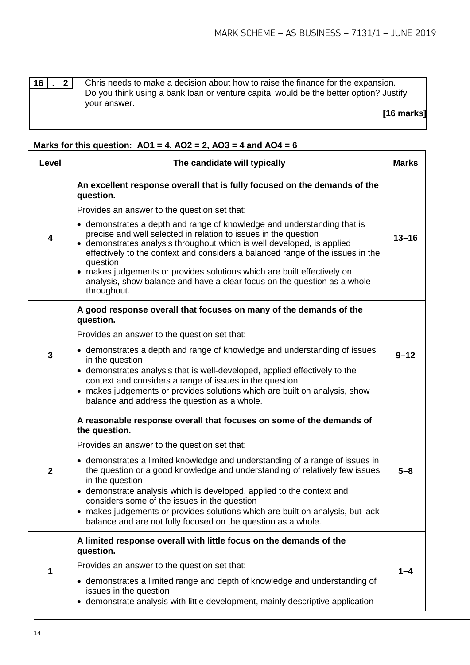**16 . 2** Chris needs to make a decision about how to raise the finance for the expansion. Do you think using a bank loan or venture capital would be the better option? Justify your answer.

**[16 marks]**

### **Marks for this question:**  $\overline{AO1} = 4$ ,  $\overline{AO2} = 2$ ,  $\overline{AO3} = 4$  and  $\overline{AO4} = 6$

| Level        | The candidate will typically                                                                                                                                                                                                                                                                                                                                                                                                                             | <b>Marks</b> |
|--------------|----------------------------------------------------------------------------------------------------------------------------------------------------------------------------------------------------------------------------------------------------------------------------------------------------------------------------------------------------------------------------------------------------------------------------------------------------------|--------------|
|              | An excellent response overall that is fully focused on the demands of the<br>question.<br>Provides an answer to the question set that:<br>• demonstrates a depth and range of knowledge and understanding that is<br>precise and well selected in relation to issues in the question                                                                                                                                                                     |              |
| 4            | • demonstrates analysis throughout which is well developed, is applied<br>effectively to the context and considers a balanced range of the issues in the<br>question<br>• makes judgements or provides solutions which are built effectively on<br>analysis, show balance and have a clear focus on the question as a whole<br>throughout.                                                                                                               | $13 - 16$    |
|              | A good response overall that focuses on many of the demands of the<br>question.                                                                                                                                                                                                                                                                                                                                                                          |              |
|              | Provides an answer to the question set that:                                                                                                                                                                                                                                                                                                                                                                                                             |              |
| 3            | • demonstrates a depth and range of knowledge and understanding of issues<br>in the question<br>• demonstrates analysis that is well-developed, applied effectively to the<br>context and considers a range of issues in the question<br>• makes judgements or provides solutions which are built on analysis, show<br>balance and address the question as a whole.                                                                                      | $9 - 12$     |
|              | A reasonable response overall that focuses on some of the demands of<br>the question.                                                                                                                                                                                                                                                                                                                                                                    |              |
|              | Provides an answer to the question set that:                                                                                                                                                                                                                                                                                                                                                                                                             |              |
| $\mathbf{2}$ | • demonstrates a limited knowledge and understanding of a range of issues in<br>the question or a good knowledge and understanding of relatively few issues<br>in the question<br>demonstrate analysis which is developed, applied to the context and<br>considers some of the issues in the question<br>• makes judgements or provides solutions which are built on analysis, but lack<br>balance and are not fully focused on the question as a whole. | $5 - 8$      |
| 1            | A limited response overall with little focus on the demands of the<br>question.                                                                                                                                                                                                                                                                                                                                                                          |              |
|              | Provides an answer to the question set that:                                                                                                                                                                                                                                                                                                                                                                                                             |              |
|              | • demonstrates a limited range and depth of knowledge and understanding of<br>issues in the question<br>demonstrate analysis with little development, mainly descriptive application<br>٠                                                                                                                                                                                                                                                                |              |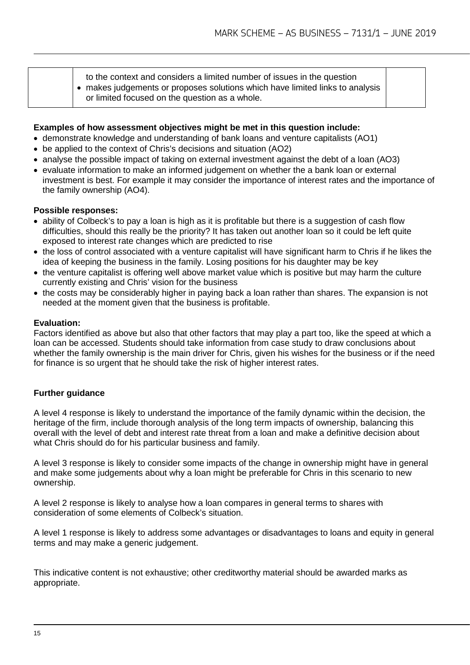to the context and considers a limited number of issues in the question

• makes judgements or proposes solutions which have limited links to analysis or limited focused on the question as a whole.

#### **Examples of how assessment objectives might be met in this question include:**

- demonstrate knowledge and understanding of bank loans and venture capitalists (AO1)
- be applied to the context of Chris's decisions and situation (AO2)
- analyse the possible impact of taking on external investment against the debt of a loan (AO3)
- evaluate information to make an informed judgement on whether the a bank loan or external investment is best. For example it may consider the importance of interest rates and the importance of the family ownership (AO4).

#### **Possible responses:**

- ability of Colbeck's to pay a loan is high as it is profitable but there is a suggestion of cash flow difficulties, should this really be the priority? It has taken out another loan so it could be left quite exposed to interest rate changes which are predicted to rise
- the loss of control associated with a venture capitalist will have significant harm to Chris if he likes the idea of keeping the business in the family. Losing positions for his daughter may be key
- the venture capitalist is offering well above market value which is positive but may harm the culture currently existing and Chris' vision for the business
- the costs may be considerably higher in paying back a loan rather than shares. The expansion is not needed at the moment given that the business is profitable.

#### **Evaluation:**

Factors identified as above but also that other factors that may play a part too, like the speed at which a loan can be accessed. Students should take information from case study to draw conclusions about whether the family ownership is the main driver for Chris, given his wishes for the business or if the need for finance is so urgent that he should take the risk of higher interest rates.

#### **Further guidance**

A level 4 response is likely to understand the importance of the family dynamic within the decision, the heritage of the firm, include thorough analysis of the long term impacts of ownership, balancing this overall with the level of debt and interest rate threat from a loan and make a definitive decision about what Chris should do for his particular business and family.

A level 3 response is likely to consider some impacts of the change in ownership might have in general and make some judgements about why a loan might be preferable for Chris in this scenario to new ownership.

A level 2 response is likely to analyse how a loan compares in general terms to shares with consideration of some elements of Colbeck's situation.

A level 1 response is likely to address some advantages or disadvantages to loans and equity in general terms and may make a generic judgement.

This indicative content is not exhaustive; other creditworthy material should be awarded marks as appropriate.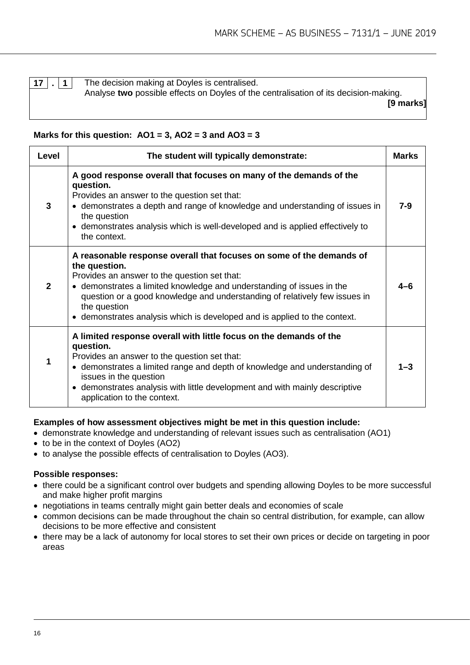**17 . 1** The decision making at Doyles is centralised. Analyse **two** possible effects on Doyles of the centralisation of its decision-making.

**[9 marks]**

#### **Marks for this question: AO1 = 3, AO2 = 3 and AO3 = 3**

| Level        | The student will typically demonstrate:                                                                                                                                                                                                                                                                                                                                                   | <b>Marks</b> |
|--------------|-------------------------------------------------------------------------------------------------------------------------------------------------------------------------------------------------------------------------------------------------------------------------------------------------------------------------------------------------------------------------------------------|--------------|
| 3            | A good response overall that focuses on many of the demands of the<br>question.<br>Provides an answer to the question set that:<br>• demonstrates a depth and range of knowledge and understanding of issues in<br>the question<br>• demonstrates analysis which is well-developed and is applied effectively to<br>the context.                                                          | 7-9          |
| $\mathbf{2}$ | A reasonable response overall that focuses on some of the demands of<br>the question.<br>Provides an answer to the question set that:<br>• demonstrates a limited knowledge and understanding of issues in the<br>question or a good knowledge and understanding of relatively few issues in<br>the question<br>• demonstrates analysis which is developed and is applied to the context. |              |
| 1            | A limited response overall with little focus on the demands of the<br>question.<br>Provides an answer to the question set that:<br>• demonstrates a limited range and depth of knowledge and understanding of<br>issues in the question<br>• demonstrates analysis with little development and with mainly descriptive<br>application to the context.                                     | $1 - 3$      |

#### **Examples of how assessment objectives might be met in this question include:**

- demonstrate knowledge and understanding of relevant issues such as centralisation (AO1)
- to be in the context of Doyles (AO2)
- to analyse the possible effects of centralisation to Doyles (AO3).

#### **Possible responses:**

- there could be a significant control over budgets and spending allowing Doyles to be more successful and make higher profit margins
- negotiations in teams centrally might gain better deals and economies of scale
- common decisions can be made throughout the chain so central distribution, for example, can allow decisions to be more effective and consistent
- there may be a lack of autonomy for local stores to set their own prices or decide on targeting in poor areas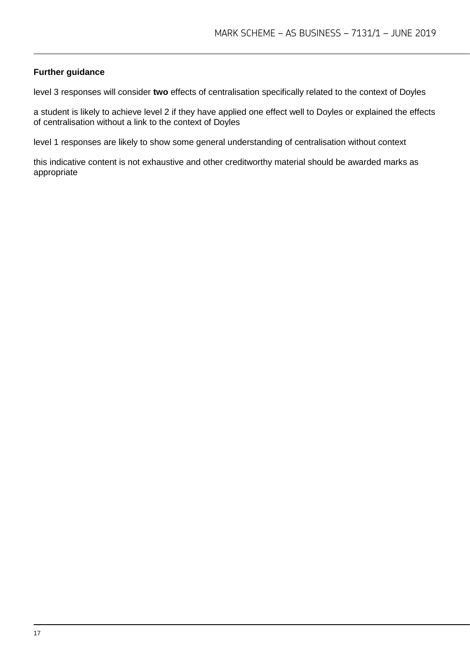#### **Further guidance**

level 3 responses will consider **two** effects of centralisation specifically related to the context of Doyles

a student is likely to achieve level 2 if they have applied one effect well to Doyles or explained the effects of centralisation without a link to the context of Doyles

level 1 responses are likely to show some general understanding of centralisation without context

this indicative content is not exhaustive and other creditworthy material should be awarded marks as appropriate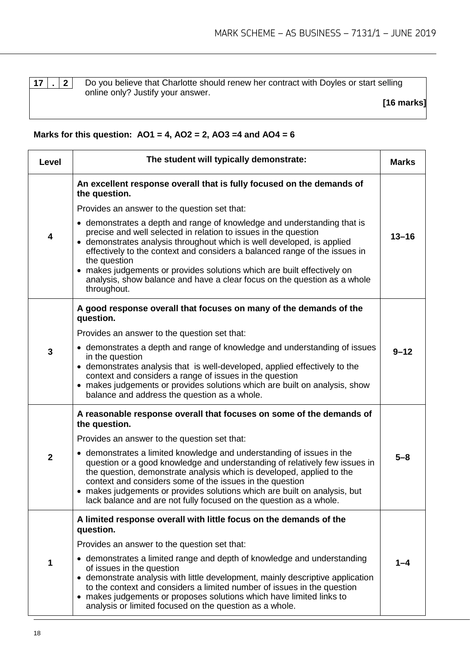**17 . 2** Do you believe that Charlotte should renew her contract with Doyles or start selling online only? Justify your answer.

**[16 marks]**

#### **Marks for this question: AO1 = 4, AO2 = 2, AO3 =4 and AO4 = 6**

| Level        | The student will typically demonstrate:                                                                                                                                                                                                                                                                                                                                                                                                                                                  |           |  |  |
|--------------|------------------------------------------------------------------------------------------------------------------------------------------------------------------------------------------------------------------------------------------------------------------------------------------------------------------------------------------------------------------------------------------------------------------------------------------------------------------------------------------|-----------|--|--|
| 4            | An excellent response overall that is fully focused on the demands of<br>the question.                                                                                                                                                                                                                                                                                                                                                                                                   |           |  |  |
|              | Provides an answer to the question set that:                                                                                                                                                                                                                                                                                                                                                                                                                                             |           |  |  |
|              | • demonstrates a depth and range of knowledge and understanding that is<br>precise and well selected in relation to issues in the question<br>• demonstrates analysis throughout which is well developed, is applied<br>effectively to the context and considers a balanced range of the issues in<br>the question<br>• makes judgements or provides solutions which are built effectively on<br>analysis, show balance and have a clear focus on the question as a whole<br>throughout. | $13 - 16$ |  |  |
|              | A good response overall that focuses on many of the demands of the<br>question.                                                                                                                                                                                                                                                                                                                                                                                                          |           |  |  |
| $\mathbf{3}$ | Provides an answer to the question set that:                                                                                                                                                                                                                                                                                                                                                                                                                                             | $9 - 12$  |  |  |
|              | • demonstrates a depth and range of knowledge and understanding of issues<br>in the question<br>• demonstrates analysis that is well-developed, applied effectively to the<br>context and considers a range of issues in the question<br>• makes judgements or provides solutions which are built on analysis, show<br>balance and address the question as a whole.                                                                                                                      |           |  |  |
| $\mathbf{2}$ | A reasonable response overall that focuses on some of the demands of<br>the question.                                                                                                                                                                                                                                                                                                                                                                                                    |           |  |  |
|              | Provides an answer to the question set that:                                                                                                                                                                                                                                                                                                                                                                                                                                             |           |  |  |
|              | • demonstrates a limited knowledge and understanding of issues in the<br>question or a good knowledge and understanding of relatively few issues in<br>the question, demonstrate analysis which is developed, applied to the<br>context and considers some of the issues in the question<br>• makes judgements or provides solutions which are built on analysis, but<br>lack balance and are not fully focused on the question as a whole.                                              | $5 - 8$   |  |  |
| 1            | A limited response overall with little focus on the demands of the<br>question.                                                                                                                                                                                                                                                                                                                                                                                                          |           |  |  |
|              | Provides an answer to the question set that:                                                                                                                                                                                                                                                                                                                                                                                                                                             |           |  |  |
|              | • demonstrates a limited range and depth of knowledge and understanding<br>of issues in the question<br>• demonstrate analysis with little development, mainly descriptive application<br>to the context and considers a limited number of issues in the question<br>makes judgements or proposes solutions which have limited links to<br>analysis or limited focused on the question as a whole.                                                                                       | 1–4       |  |  |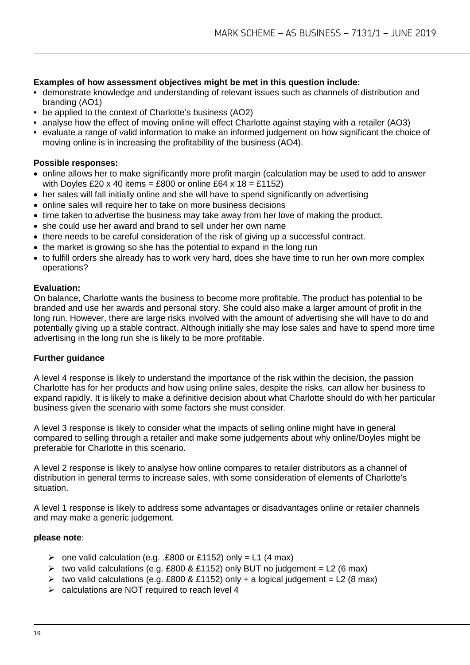#### **Examples of how assessment objectives might be met in this question include:**

- demonstrate knowledge and understanding of relevant issues such as channels of distribution and branding (AO1)
- be applied to the context of Charlotte's business (AO2)
- analyse how the effect of moving online will effect Charlotte against staying with a retailer (AO3)
- evaluate a range of valid information to make an informed judgement on how significant the choice of moving online is in increasing the profitability of the business (AO4).

#### **Possible responses:**

- online allows her to make significantly more profit margin (calculation may be used to add to answer with Doyles £20 x 40 items = £800 or online £64 x  $18 = \text{\textsterling}1152$ )
- her sales will fall initially online and she will have to spend significantly on advertising
- online sales will require her to take on more business decisions
- time taken to advertise the business may take away from her love of making the product.
- she could use her award and brand to sell under her own name
- there needs to be careful consideration of the risk of giving up a successful contract.
- the market is growing so she has the potential to expand in the long run
- to fulfill orders she already has to work very hard, does she have time to run her own more complex operations?

#### **Evaluation:**

On balance, Charlotte wants the business to become more profitable. The product has potential to be branded and use her awards and personal story. She could also make a larger amount of profit in the long run. However, there are large risks involved with the amount of advertising she will have to do and potentially giving up a stable contract. Although initially she may lose sales and have to spend more time advertising in the long run she is likely to be more profitable.

#### **Further guidance**

A level 4 response is likely to understand the importance of the risk within the decision, the passion Charlotte has for her products and how using online sales, despite the risks, can allow her business to expand rapidly. It is likely to make a definitive decision about what Charlotte should do with her particular business given the scenario with some factors she must consider.

A level 3 response is likely to consider what the impacts of selling online might have in general compared to selling through a retailer and make some judgements about why online/Doyles might be preferable for Charlotte in this scenario.

A level 2 response is likely to analyse how online compares to retailer distributors as a channel of distribution in general terms to increase sales, with some consideration of elements of Charlotte's situation.

A level 1 response is likely to address some advantages or disadvantages online or retailer channels and may make a generic judgement.

#### **please note**:

- $\ge$  one valid calculation (e.g. .£800 or £1152) only = L1 (4 max)
- $\triangleright$  two valid calculations (e.g. £800 & £1152) only BUT no judgement = L2 (6 max)
- $\triangleright$  two valid calculations (e.g. £800 & £1152) only + a logical judgement = L2 (8 max)
- $\triangleright$  calculations are NOT required to reach level 4